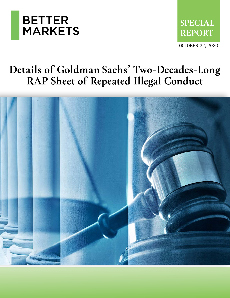



## **Details of Goldman Sachs' Two-Decades-Long RAP Sheet of Repeated Illegal Conduct**

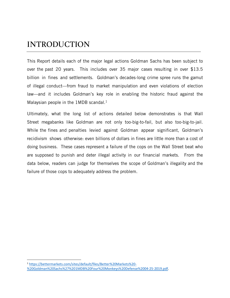### **INTRODUCTION**

This Report details each of the major legal actions Goldman Sachs has been subject to over the past 20 years. This includes over 35 major cases resulting in over \$13.5 billion in fines and settlements. Goldman's decades-long crime spree runs the gamut of illegal conduct—from fraud to market manipulation and even violations of election law—and it includes Goldman's key role in enabling the historic fraud against the Malaysian people in the  $1 \text{MDB}$  scandal.<sup>1</sup>

Ultimately, what the long list of actions detailed below demonstrates is that Wall Street megabanks like Goldman are not only too-big-to-fail, but also too-big-to-jail. While the fines and penalties levied against Goldman appear significant, Goldman's recidivism shows otherwise: even billions of dollars in fines are little more than a cost of doing business. These cases represent a failure of the cops on the Wall Street beat who are supposed to punish and deter illegal activity in our financial markets. From the data below, readers can judge for themselves the scope of Goldman's illegality and the failure of those cops to adequately address the problem.

<sup>1</sup> [https://bettermarkets.com/sites/default/files/Better%20Markets%20-](https://bettermarkets.com/sites/default/files/Better%20Markets%20-%20Goldman%20Sachs%27%201MDB%20Four%20Monkeys%20Defense%2004-25-2019.pdf) [%20Goldman%20Sachs%27%201MDB%20Four%20Monkeys%20Defense%2004-25-2019.pdf.](https://bettermarkets.com/sites/default/files/Better%20Markets%20-%20Goldman%20Sachs%27%201MDB%20Four%20Monkeys%20Defense%2004-25-2019.pdf)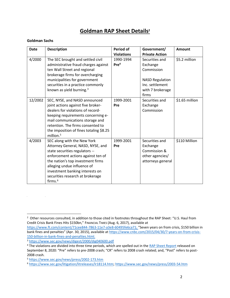#### **Goldman RAP Sheet Details<sup>2</sup>**

#### **Goldman Sachs**

 $\label{eq:2.1} \frac{1}{2} \sum_{i=1}^n \frac{1}{2} \sum_{j=1}^n \frac{1}{2} \sum_{j=1}^n \frac{1}{2} \sum_{j=1}^n \frac{1}{2} \sum_{j=1}^n \frac{1}{2} \sum_{j=1}^n \frac{1}{2} \sum_{j=1}^n \frac{1}{2} \sum_{j=1}^n \frac{1}{2} \sum_{j=1}^n \frac{1}{2} \sum_{j=1}^n \frac{1}{2} \sum_{j=1}^n \frac{1}{2} \sum_{j=1}^n \frac{1}{2} \sum_{j=1}^n \frac{$ 

| <b>Date</b> | <b>Description</b>                                                                                                                                                                                                                                                                                | Period of                     | Government/                                                                                                        | <b>Amount</b>  |
|-------------|---------------------------------------------------------------------------------------------------------------------------------------------------------------------------------------------------------------------------------------------------------------------------------------------------|-------------------------------|--------------------------------------------------------------------------------------------------------------------|----------------|
|             |                                                                                                                                                                                                                                                                                                   | <b>Violations</b>             | <b>Private Action</b>                                                                                              |                |
| 4/2000      | The SEC brought and settled civil<br>administrative fraud charges against<br>ten Wall Street and regional<br>brokerage firms for overcharging<br>municipalities for government<br>securities in a practice commonly<br>known as yield burning. <sup>3</sup>                                       | 1990-1994<br>Pre <sup>4</sup> | Securities and<br>Exchange<br>Commission<br><b>NASD Regulation</b><br>Inc. settlement<br>with 7 brokerage<br>firms | \$5.2 million  |
| 12/2002     | SEC, NYSE, and NASD announced<br>joint actions against five broker-<br>dealers for violations of record-<br>keeping requirements concerning e-<br>mail communications storage and<br>retention. The firms consented to<br>the imposition of fines totaling \$8.25<br>million. <sup>5</sup>        | 1999-2001<br>Pre              | Securities and<br>Exchange<br>Commission                                                                           | \$1.65 million |
| 4/2003      | SEC along with the New York<br>Attorney General, NASD, NYSE, and<br>state securities regulators --<br>enforcement actions against ten of<br>the nation's top investment firms<br>alleging undue influence of<br>investment banking interests on<br>securities research at brokerage<br>firms. $6$ | 1999-2001<br>Pre              | Securities and<br>Exchange<br>Commission &<br>other agencies/<br>attorneys general                                 | \$110 Million  |

<sup>2</sup> Other resources consulted, in addition to those cited in footnotes throughout the RAP Sheet: "U.S. Haul from Credit Crisis Bank Fines Hits \$150bn," FINANCIAL TIMES (Aug. 6, 2017), available at

[https://www.ft.com/content/71cee844-7863-11e7-a3e8-60495fe6ca71;](https://www.ft.com/content/71cee844-7863-11e7-a3e8-60495fe6ca71) "Seven years on from crisis, \$150 billion in bank fines and penalties" (Apr. 30, 2015), available at [https://www.cnbc.com/2015/04/30/7-years-on-from-crisis-](https://www.cnbc.com/2015/04/30/7-years-on-from-crisis-150-billion-in-bank-fines-and-penalties.html)[150-billion-in-bank-fines-and-penalties.html.](https://www.cnbc.com/2015/04/30/7-years-on-from-crisis-150-billion-in-bank-fines-and-penalties.html)

<sup>3</sup> <https://www.sec.gov/news/digest/2000/dig040600.pdf>

<sup>&</sup>lt;sup>4</sup> The violations are divided into three time periods, which are spelled out in the [RAP Sheet Report](https://bettermarkets.com/sites/default/files/documents/Goldman_Sachs%27_20-Year_RAP_Sheet_Sept-08-2020.pdf) released on September 8, 2020: "Pre" refers to pre-2008 crash; "CR" refers to 2008 crash related; and, "Post" refers to post-2008 crash.

<sup>5</sup> <https://www.sec.gov/news/press/2002-173.htm>

<sup>6</sup> [https://www.sec.gov/litigation/litreleases/lr18114.htm;](https://www.sec.gov/litigation/litreleases/lr18114.htm)<https://www.sec.gov/news/press/2003-54.htm>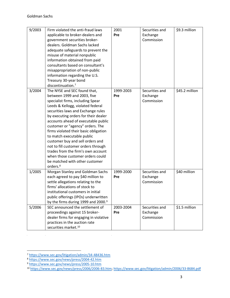| 9/2003 | Firm violated the anti-fraud laws               | 2001      | Securities and | \$9.3 million  |
|--------|-------------------------------------------------|-----------|----------------|----------------|
|        | applicable to broker-dealers and                | Pre       | Exchange       |                |
|        | government securities broker-                   |           | Commission     |                |
|        | dealers. Goldman Sachs lacked                   |           |                |                |
|        | adequate safeguards to prevent the              |           |                |                |
|        | misuse of material nonpublic                    |           |                |                |
|        | information obtained from paid                  |           |                |                |
|        | consultants based on consultant's               |           |                |                |
|        | misappropriation of non-public                  |           |                |                |
|        | information regarding the U.S.                  |           |                |                |
|        | Treasury 30-year bond                           |           |                |                |
|        | discontinuation. <sup>7</sup>                   |           |                |                |
| 3/2004 | The NYSE and SEC found that,                    | 1999-2003 | Securities and | \$45.2 million |
|        | between 1999 and 2003, five                     | Pre       | Exchange       |                |
|        | specialist firms, including Spear               |           | Commission     |                |
|        | Leeds & Kellogg, violated federal               |           |                |                |
|        | securities laws and Exchange rules              |           |                |                |
|        | by executing orders for their dealer            |           |                |                |
|        | accounts ahead of executable public             |           |                |                |
|        | customer or "agency" orders. The                |           |                |                |
|        | firms violated their basic obligation           |           |                |                |
|        | to match executable public                      |           |                |                |
|        | customer buy and sell orders and                |           |                |                |
|        | not to fill customer orders through             |           |                |                |
|        | trades from the firm's own account              |           |                |                |
|        | when those customer orders could                |           |                |                |
|        | be matched with other customer                  |           |                |                |
|        | orders. <sup>8</sup>                            |           |                |                |
| 1/2005 | Morgan Stanley and Goldman Sachs                | 1999-2000 | Securities and | \$40 million   |
|        | each agreed to pay \$40 million to              | Pre       | Exchange       |                |
|        | settle allegations relating to the              |           | Commission     |                |
|        | firms' allocations of stock to                  |           |                |                |
|        | institutional customers in initial              |           |                |                |
|        | public offerings (IPOs) underwritten            |           |                |                |
|        | by the firms during 1999 and 2000. <sup>9</sup> |           |                |                |
| 5/2006 | SEC announced the settlement of                 | 2003-2004 | Securities and | \$1.5 million  |
|        | proceedings against 15 broker-                  | Pre       | Exchange       |                |
|        | dealer firms for engaging in violative          |           | Commission     |                |
|        | practices in the auction rate                   |           |                |                |
|        | securities market. <sup>10</sup>                |           |                |                |

 $\label{eq:2.1} \frac{1}{\sqrt{2}}\int_{\mathbb{R}^3}\frac{1}{\sqrt{2}}\left(\frac{1}{\sqrt{2}}\right)^2\frac{1}{\sqrt{2}}\left(\frac{1}{\sqrt{2}}\right)^2\frac{1}{\sqrt{2}}\left(\frac{1}{\sqrt{2}}\right)^2\frac{1}{\sqrt{2}}\left(\frac{1}{\sqrt{2}}\right)^2.$ 

 $\mathcal{L}^{\text{max}}_{\text{max}}$ 

<sup>7</sup> <https://www.sec.gov/litigation/admin/34-48436.htm>

<sup>8</sup> <https://www.sec.gov/news/press/2004-42.htm>

<sup>&</sup>lt;sup>9</sup> <https://www.sec.gov/news/press/2005-10.htm>

<sup>10</sup> [https://www.sec.gov/news/press/2006/2006-83.htm;](https://www.sec.gov/news/press/2006/2006-83.htm)<https://www.sec.gov/litigation/admin/2006/33-8684.pdf>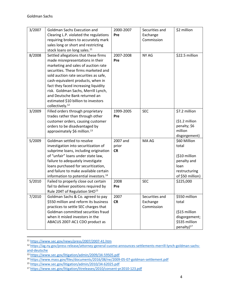| 3/2007 | <b>Goldman Sachs Execution and</b>                | 2000-2007 | Securities and | \$2 million            |
|--------|---------------------------------------------------|-----------|----------------|------------------------|
|        | Clearing L.P. violated the regulations            | Pre       | Exchange       |                        |
|        | requiring brokers to accurately mark              |           | Commission     |                        |
|        | sales long or short and restricting               |           |                |                        |
|        | stock loans on long sales. <sup>11</sup>          |           |                |                        |
| 8/2008 | Settled allegations that these firms              | 2007-2008 | NY AG          | \$22.5 million         |
|        | made misrepresentations in their                  | Pre       |                |                        |
|        | marketing and sales of auction rate               |           |                |                        |
|        | securities. These firms marketed and              |           |                |                        |
|        | sold auction rate securities as safe,             |           |                |                        |
|        | cash-equivalent products, when in                 |           |                |                        |
|        | fact they faced increasing liquidity              |           |                |                        |
|        | risk. Goldman Sachs, Merrill Lynch,               |           |                |                        |
|        | and Deutsche Bank returned an                     |           |                |                        |
|        | estimated \$10 billion to investors               |           |                |                        |
|        | collectively. <sup>12</sup>                       |           |                |                        |
| 3/2009 | Filled orders through proprietary                 | 1999-2005 | <b>SEC</b>     | \$7.2 million          |
|        | trades rather than through other                  | Pre       |                |                        |
|        | customer orders, causing customer                 |           |                | (\$1.2 million         |
|        | orders to be disadvantaged by                     |           |                | penalty; \$6           |
|        | approximately \$6 million. <sup>13</sup>          |           |                | million                |
|        |                                                   |           |                | disgorgement)          |
| 5/2009 | Goldman settled to resolve                        | 2007 and  | MA AG          | \$60 Million           |
|        | investigation into securitization of              | prior     |                | total                  |
|        | subprime loans, including origination             | <b>CR</b> |                |                        |
|        | of "unfair" loans under state law,                |           |                | (\$10 million          |
|        | failure to adequately investigate                 |           |                | penalty and            |
|        | loans purchased for securitization,               |           |                | loan                   |
|        | and failure to make available certain             |           |                | restructuring          |
|        | information to potential investors. <sup>14</sup> |           |                | of \$50 million)       |
| 5/2010 | Failed to properly close out certain              | 2008      | <b>SEC</b>     | \$225,000              |
|        | fail to deliver positions required by             | Pre       |                |                        |
|        | Rule 204T of Regulation SHO <sup>15</sup>         |           |                |                        |
| 7/2010 | Goldman Sachs & Co. agreed to pay                 | 2007      | Securities and | \$550 million          |
|        | \$550 million and reform its business             | <b>CR</b> | Exchange       | total                  |
|        | practices to settle SEC charges that              |           | Commission     |                        |
|        | Goldman committed securities fraud                |           |                | (\$15 million          |
|        | when it misled investors in the                   |           |                | disgorgement;          |
|        | ABACUS 2007-AC1 CDO product as                    |           |                | \$535 million          |
|        |                                                   |           |                | penalty) <sup>17</sup> |

<sup>11</sup> https://www.sec.gov/news/press/2007/2007-41.htm

<sup>12</sup> [https://ag.ny.gov/press-release/attorney-general-cuomo-announces-settlements-merrill-lynch-goldman-sachs](https://ag.ny.gov/press-release/attorney-general-cuomo-announces-settlements-merrill-lynch-goldman-sachs-and-deutsche)[and-deutsche](https://ag.ny.gov/press-release/attorney-general-cuomo-announces-settlements-merrill-lynch-goldman-sachs-and-deutsche)

<sup>13</sup> <https://www.sec.gov/litigation/admin/2009/34-59505.pdf>

<sup>14</sup> <https://www.mass.gov/files/documents/2016/08/ne/2009-05-07-goldman-settlement.pdf>

<sup>15</sup> <https://www.sec.gov/litigation/admin/2010/34-62025.pdf>

<sup>17</sup> <https://www.sec.gov/litigation/litreleases/2010/consent-pr2010-123.pdf>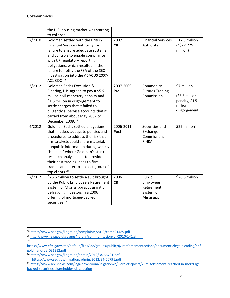|        | the U.S. housing market was starting<br>to collapse. <sup>16</sup>                                                                                                                                                                                                                                                                                                                |                   |                                                                |                                                                              |
|--------|-----------------------------------------------------------------------------------------------------------------------------------------------------------------------------------------------------------------------------------------------------------------------------------------------------------------------------------------------------------------------------------|-------------------|----------------------------------------------------------------|------------------------------------------------------------------------------|
| 7/2010 | Goldman settled with the British<br>Financial Services Authority for<br>failure to ensure adequate systems<br>and controls to enable compliance<br>with UK regulatory reporting<br>obligations, which resulted in the<br>failure to notify the FSA of the SEC<br>investigation into the ABACUS 2007-<br>AC1 CDO.18                                                                | 2007<br><b>CR</b> | <b>Financial Services</b><br>Authority                         | £17.5 million<br>$(^{\sim}$ \$22.225<br>million)                             |
| 3/2012 | <b>Goldman Sachs Execution &amp;</b><br>Clearing, L.P. agreed to pay a \$5.5<br>million civil monetary penalty and<br>\$1.5 million in disgorgement to<br>settle charges that it failed to<br>diligently supervise accounts that it<br>carried from about May 2007 to<br>December 2009. <sup>19</sup>                                                                             | 2007-2009<br>Pre  | Commodity<br><b>Futures Trading</b><br>Commission              | \$7 million<br>$(55.5$ million<br>penalty; \$1.5<br>million<br>disgorgement) |
| 4/2012 | Goldman Sachs settled allegations<br>that it lacked adequate policies and<br>procedures to address the risk that<br>firm analysts could share material,<br>nonpublic information during weekly<br>"huddles" where Goldman's stock<br>research analysts met to provide<br>their best trading ideas to firm<br>traders and later to a select group of<br>top clients. <sup>20</sup> | 2006-2011<br>Post | Securities and<br>Exchange<br>Commission,<br><b>FINRA</b>      | \$22 million <sup>21</sup>                                                   |
| 7/2012 | \$26.6 million to settle a suit brought<br>by the Public Employee's Retirement<br>System of Mississippi accusing it of<br>defrauding investors in a 2006<br>offering of mortgage-backed<br>securities. <sup>22</sup>                                                                                                                                                              | 2006<br><b>CR</b> | Public<br>Employees'<br>Retirement<br>System of<br>Mississippi | \$26.6 million                                                               |

<sup>16</sup> <https://www.sec.gov/litigation/complaints/2010/comp21489.pdf>

<sup>18</sup> <http://www.fsa.gov.uk/pages/library/communication/pr/2010/141.shtml> 19

[https://www.cftc.gov/sites/default/files/idc/groups/public/@lrenforcementactions/documents/legalpleading/enf](https://www.cftc.gov/sites/default/files/idc/groups/public/@lrenforcementactions/documents/legalpleading/enfgoldmanorder031312.pdf) [goldmanorder031312.pdf](https://www.cftc.gov/sites/default/files/idc/groups/public/@lrenforcementactions/documents/legalpleading/enfgoldmanorder031312.pdf)

<sup>20</sup> <https://www.sec.gov/litigation/admin/2012/34-66791.pdf>

<sup>21</sup> <https://www.sec.gov/litigation/admin/2012/34-66791.pdf>

<sup>22</sup> [https://www.lexisnexis.com/legalnewsroom/litigation/b/jverdicts/posts/26m-settlement-reached-in-mortgage](https://www.lexisnexis.com/legalnewsroom/litigation/b/jverdicts/posts/26m-settlement-reached-in-mortgage-backed-securities-shareholder-class-action)[backed-securities-shareholder-class-action](https://www.lexisnexis.com/legalnewsroom/litigation/b/jverdicts/posts/26m-settlement-reached-in-mortgage-backed-securities-shareholder-class-action)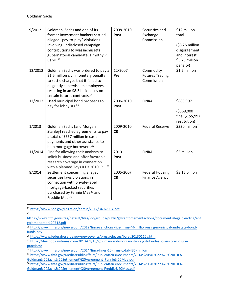| 9/2012  | Goldman, Sachs and one of its                    | 2008-2010 | Securities and         | \$12 million                |
|---------|--------------------------------------------------|-----------|------------------------|-----------------------------|
|         | former investment bankers settled                | Post      | Exchange               | total                       |
|         | alleged "pay-to-play" violations                 |           | Commission             |                             |
|         | involving undisclosed campaign                   |           |                        | $( $8.25$ million           |
|         | contributions to Massachusetts                   |           |                        | disgorgement                |
|         | gubernatorial candidate, Timothy P.              |           |                        | and interest;               |
|         | Cahill. <sup>23</sup>                            |           |                        | \$3.75 million              |
|         |                                                  |           |                        | penalty)                    |
| 12/2012 | Goldman Sachs was ordered to pay a               | 12/2007   | Commodity              | \$1.5 million               |
|         | \$1.5 million civil monetary penalty             | Pre       | <b>Futures Trading</b> |                             |
|         | to settle charges that it failed to              |           | Commission             |                             |
|         | diligently supervise its employees,              |           |                        |                             |
|         | resulting in an \$8.3 billion loss on            |           |                        |                             |
|         | certain futures contracts. <sup>24</sup>         |           |                        |                             |
| 12/2012 | Used municipal bond proceeds to                  | 2006-2010 | <b>FINRA</b>           | \$683,997                   |
|         | pay for lobbyists. <sup>25</sup>                 | Post      |                        |                             |
|         |                                                  |           |                        | (\$568,000                  |
|         |                                                  |           |                        | fine; \$155,997             |
|         |                                                  |           |                        | restitution)                |
| 1/2013  | <b>Goldman Sachs [and Morgan</b>                 | 2009-2010 | <b>Federal Reserve</b> | \$330 million <sup>27</sup> |
|         | Stanley] reached agreements to pay               | <b>CR</b> |                        |                             |
|         | a total of \$557 million in cash                 |           |                        |                             |
|         | payments and other assistance to                 |           |                        |                             |
|         | help mortgage borrowers. <sup>26</sup>           |           |                        |                             |
| 11/2014 | Fine for allowing their analysts to              | 2010      | <b>FINRA</b>           | \$5 million                 |
|         | solicit business and offer favorable             | Post      |                        |                             |
|         | research coverage in connection                  |           |                        |                             |
|         | with a planned Toys R Us 2010 IPO. <sup>28</sup> |           |                        |                             |
| 8/2014  | Settlement concerning alleged                    | 2005-2007 | <b>Federal Housing</b> | \$3.15 billion              |
|         | securities laws violations in                    | <b>CR</b> | <b>Finance Agency</b>  |                             |
|         | connection with private-label                    |           |                        |                             |
|         | mortgage-backed securities                       |           |                        |                             |
|         | purchased by Fannie Mae <sup>29</sup> and        |           |                        |                             |
|         | Freddie Mac. <sup>30</sup>                       |           |                        |                             |

<sup>23</sup> <https://www.sec.gov/litigation/admin/2012/34-67934.pdf>

24

[https://www.cftc.gov/sites/default/files/idc/groups/public/@lrenforcementactions/documents/legalpleading/enf](https://www.cftc.gov/sites/default/files/idc/groups/public/@lrenforcementactions/documents/legalpleading/enfgoldmanorder120712.pdf) [goldmanorder120712.pdf](https://www.cftc.gov/sites/default/files/idc/groups/public/@lrenforcementactions/documents/legalpleading/enfgoldmanorder120712.pdf)

<sup>25</sup> [http://www.finra.org/newsroom/2012/finra-sanctions-five-firms-44-million-using-municipal-and-state-bond](http://www.finra.org/newsroom/2012/finra-sanctions-five-firms-44-million-using-municipal-and-state-bond-funds-pay)[funds-pay](http://www.finra.org/newsroom/2012/finra-sanctions-five-firms-44-million-using-municipal-and-state-bond-funds-pay)

<sup>26</sup> <https://www.federalreserve.gov/newsevents/pressreleases/bcreg20130116a.htm>

<sup>27</sup> [https://dealbook.nytimes.com/2013/01/16/goldman-and-morgan-stanley-strike-deal-over-foreclosure](https://dealbook.nytimes.com/2013/01/16/goldman-and-morgan-stanley-strike-deal-over-foreclosure-practices/)[practices/](https://dealbook.nytimes.com/2013/01/16/goldman-and-morgan-stanley-strike-deal-over-foreclosure-practices/)

<sup>28</sup> <http://www.finra.org/newsroom/2014/finra-fines-10-firms-total-435-million>

<sup>29</sup> [https://www.fhfa.gov/Media/PublicAffairs/PublicAffairsDocuments/2014%208%2022%20%20FHFA-](https://www.fhfa.gov/Media/PublicAffairs/PublicAffairsDocuments/2014%208%2022%20%20FHFA-Goldman%20Sachs%20Settlement%20Agreement_Fannie%20Mae.pdf)

[Goldman%20Sachs%20Settlement%20Agreement\\_Fannie%20Mae.pdf](https://www.fhfa.gov/Media/PublicAffairs/PublicAffairsDocuments/2014%208%2022%20%20FHFA-Goldman%20Sachs%20Settlement%20Agreement_Fannie%20Mae.pdf)

<sup>30</sup> [https://www.fhfa.gov/Media/PublicAffairs/PublicAffairsDocuments/2014%208%2022%20%20FHFA-](https://www.fhfa.gov/Media/PublicAffairs/PublicAffairsDocuments/2014%208%2022%20%20FHFA-Goldman%20Sachs%20Settlement%20Agreement-Freddie%20Mac.pdf)[Goldman%20Sachs%20Settlement%20Agreement-Freddie%20Mac.pdf](https://www.fhfa.gov/Media/PublicAffairs/PublicAffairsDocuments/2014%208%2022%20%20FHFA-Goldman%20Sachs%20Settlement%20Agreement-Freddie%20Mac.pdf)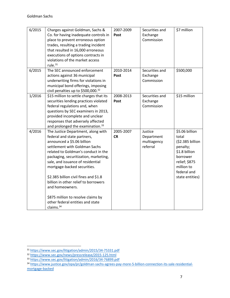| 6/2015 | Charges against Goldman, Sachs &             | 2007-2009 | Securities and | \$7 million      |
|--------|----------------------------------------------|-----------|----------------|------------------|
|        | Co. for having inadequate controls in        | Post      | Exchange       |                  |
|        | place to prevent erroneous option            |           | Commission     |                  |
|        | trades, resulting a trading incident         |           |                |                  |
|        | that resulted in 16,000 erroneous            |           |                |                  |
|        | executions of options contracts in           |           |                |                  |
|        | violations of the market access              |           |                |                  |
|        | rule. $31$                                   |           |                |                  |
| 6/2015 | The SEC announced enforcement                | 2010-2014 | Securities and | \$500,000        |
|        | actions against 36 municipal                 | Post      | Exchange       |                  |
|        | underwriting firms for violations in         |           | Commission     |                  |
|        | municipal bond offerings, imposing           |           |                |                  |
|        | civil penalties up to \$500,000.32           |           |                |                  |
| 1/2016 | \$15 million to settle charges that its      | 2008-2013 | Securities and | \$15 million     |
|        | securities lending practices violated        | Post      | Exchange       |                  |
|        | federal regulations and, when                |           | Commission     |                  |
|        | questions by SEC examiners in 2013,          |           |                |                  |
|        | provided incomplete and unclear              |           |                |                  |
|        | responses that adversely affected            |           |                |                  |
|        | and prolonged the examination. <sup>33</sup> |           |                |                  |
| 4/2016 | The Justice Department, along with           | 2005-2007 | Justice        | \$5.06 billion   |
|        | federal and state partners,                  | <b>CR</b> | Department     | total            |
|        | announced a \$5.06 billion                   |           | multiagency    | (\$2.385 billion |
|        | settlement with Goldman Sachs                |           | referral       | penalty;         |
|        | related to Goldman's conduct in the          |           |                | \$1.8 billion    |
|        | packaging, securitization, marketing,        |           |                | borrower         |
|        | sale, and issuance of residential            |           |                | relief; \$875    |
|        | mortgage-backed securities.                  |           |                | million to       |
|        |                                              |           |                | federal and      |
|        | \$2.385 billion civil fines and \$1.8        |           |                | state entities)  |
|        | billion in other relief to borrowers         |           |                |                  |
|        | and homeowners.                              |           |                |                  |
|        |                                              |           |                |                  |
|        | \$875 million to resolve claims by           |           |                |                  |
|        | other federal entities and state             |           |                |                  |
|        | claims. <sup>34</sup>                        |           |                |                  |

<sup>31</sup> <https://www.sec.gov/litigation/admin/2015/34-75331.pdf>

<sup>32</sup> <https://www.sec.gov/news/pressrelease/2015-125.html>

<sup>33</sup> <https://www.sec.gov/litigation/admin/2016/34-76899.pdf>

<sup>34</sup> [https://www.justice.gov/opa/pr/goldman-sachs-agrees-pay-more-5-billion-connection-its-sale-residential](https://www.justice.gov/opa/pr/goldman-sachs-agrees-pay-more-5-billion-connection-its-sale-residential-mortgage-backed)[mortgage-backed](https://www.justice.gov/opa/pr/goldman-sachs-agrees-pay-more-5-billion-connection-its-sale-residential-mortgage-backed)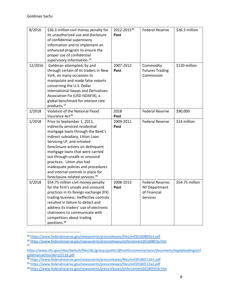| 8/2016  | \$36.3 million civil money penalty for      | 2012-201536 | <b>Federal Reserve</b> | \$36.3 million  |
|---------|---------------------------------------------|-------------|------------------------|-----------------|
|         | its unauthorized use and disclosure         | Post        |                        |                 |
|         | of confidential supervisory                 |             |                        |                 |
|         | information and to implement an             |             |                        |                 |
|         | enhanced program to ensure the              |             |                        |                 |
|         | proper use of confidential                  |             |                        |                 |
|         | supervisory information. <sup>35</sup>      |             |                        |                 |
| 12/2016 | Goldman attempted, by and                   | 2007-2012   | Commodity              | \$120 million   |
|         | through certain of its traders in New       | Post        | <b>Futures Trading</b> |                 |
|         | York, on many occasions to                  |             | Commission             |                 |
|         | manipulate and made false reports           |             |                        |                 |
|         | concerning the U.S. Dollar                  |             |                        |                 |
|         | <b>International Swaps and Derivatives</b>  |             |                        |                 |
|         | Association Fix (USD ISDAFIX), a            |             |                        |                 |
|         | global benchmark for interest rate          |             |                        |                 |
|         | products. <sup>37</sup>                     |             |                        |                 |
| 1/2018  | Violation of the National Flood             | 2018        | <b>Federal Reserve</b> | \$90,000        |
|         | Insurance Act <sup>38</sup>                 | Post        |                        |                 |
| 1/2018  | Prior to September 1, 2011,                 | 2009-2011   | <b>Federal Reserve</b> | \$14 million    |
|         | indirectly serviced residential             | Post        |                        |                 |
|         | mortgage loans through the Bank's           |             |                        |                 |
|         | indirect subsidiary, Litton Loan            |             |                        |                 |
|         | Servicing LP, and initiated                 |             |                        |                 |
|         | foreclosure actions on delinquent           |             |                        |                 |
|         | mortgage loans that were carried            |             |                        |                 |
|         | out through unsafe or unsound               |             |                        |                 |
|         | practices. Litton also had                  |             |                        |                 |
|         | inadequate policies and procedures          |             |                        |                 |
|         | and internal controls in place for          |             |                        |                 |
|         | foreclosure-related services. <sup>39</sup> |             |                        |                 |
| 5/2018  | \$54.75 million civil money penalty         | 2008-2013   | Federal Reserve,       | \$54.75 million |
|         | for the firm's unsafe and unsound           | Post        | <b>NY Department</b>   |                 |
|         | practices in its foreign exchange (FX)      |             | of Financial           |                 |
|         | trading business. Ineffective controls      |             | Services               |                 |
|         | resulted in failure to detect and           |             |                        |                 |
|         | address its traders' use of electronic      |             |                        |                 |
|         | chatrooms to communicate with               |             |                        |                 |
|         | competitors about trading                   |             |                        |                 |
|         | positions. <sup>40</sup>                    |             |                        |                 |

<sup>35</sup> <https://www.federalreserve.gov/newsevents/pressreleases/files/enf20160803a1.pdf>

 $37$ 

<sup>36</sup> <https://www.federalreserve.gov/newsevents/pressreleases/enforcement20160803a.htm>

[https://www.cftc.gov/sites/default/files/idc/groups/public/@lrenforcementactions/documents/legalpleading/enf](https://www.cftc.gov/sites/default/files/idc/groups/public/@lrenforcementactions/documents/legalpleading/enfgoldmansachsorder122116.pdf) [goldmansachsorder122116.pdf](https://www.cftc.gov/sites/default/files/idc/groups/public/@lrenforcementactions/documents/legalpleading/enfgoldmansachsorder122116.pdf)

<sup>38</sup> <https://www.federalreserve.gov/newsevents/pressreleases/files/enf20180112b1.pdf>

<sup>39</sup> <https://www.federalreserve.gov/newsevents/pressreleases/files/enf20180112a2.pdf>

<sup>40</sup> <https://www.federalreserve.gov/newsevents/pressreleases/enforcement20180501b.htm>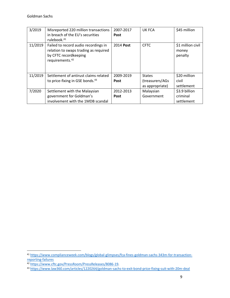| 3/2019  | Misreported 220 million transactions        | 2007-2017   | UK FCA           | \$45 million      |
|---------|---------------------------------------------|-------------|------------------|-------------------|
|         | in breach of the EU's securities            | <b>Post</b> |                  |                   |
|         | rulebook. <sup>41</sup>                     |             |                  |                   |
| 11/2019 | Failed to record audio recordings in        | 2014 Post   | <b>CFTC</b>      | \$1 million civil |
|         | relation to swaps trading as required       |             |                  | money             |
|         | by CFTC recordkeeping                       |             |                  | penalty           |
|         | requirements. <sup>42</sup>                 |             |                  |                   |
|         |                                             |             |                  |                   |
|         |                                             |             |                  |                   |
| 11/2019 | Settlement of antirust claims related       | 2009-2019   | <b>States</b>    | \$20 million      |
|         | to price-fixing in GSE bonds. <sup>43</sup> | <b>Post</b> | (treasurers/AGs) | civil             |
|         |                                             |             | as appropriate)  | settlement        |
| 7/2020  | Settlement with the Malaysian               | 2012-2013   | Malaysian        | \$3.9 billion     |
|         | government for Goldman's                    | <b>Post</b> | Government       | criminal          |
|         | involvement with the 1MDB scandal           |             |                  | settlement        |

<sup>41</sup> [https://www.complianceweek.com/blogs/global-glimpses/fca-fines-goldman-sachs-343m-for-transaction](https://www.complianceweek.com/blogs/global-glimpses/fca-fines-goldman-sachs-343m-for-transaction-reporting-failures)[reporting-failures](https://www.complianceweek.com/blogs/global-glimpses/fca-fines-goldman-sachs-343m-for-transaction-reporting-failures)

<sup>42</sup> [https://www.cftc.gov/PressRoom/PressReleases/8086-19.](https://www.cftc.gov/PressRoom/PressReleases/8086-19)

<sup>43</sup> <https://www.law360.com/articles/1220264/goldman-sachs-to-exit-bond-price-fixing-suit-with-20m-deal>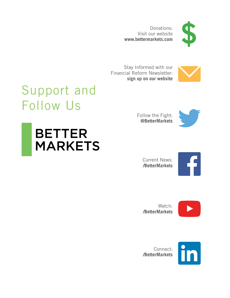Donations: Visit our website **[www.bettermarkets.com](https://www.bettermarkets.com/donate)**



Stay Informed with our [Financial Reform Newsletter:](https://bettermarkets.com/join-our-mailing-list) **sign up on our website**



# Support and Follow Us

**BETTER** 

**MARKETS** 

[Follow the Fight:](https://www.twitter.com/bettermarkets) **@BetterMarkets**





**/BetterMarkets**



Watch: **[/BetterMarkets](https://www.youtube.com/bettermarkets)**



Connect: **[/BetterMarkets](https://www.linkedin.com/company/better-markets)**